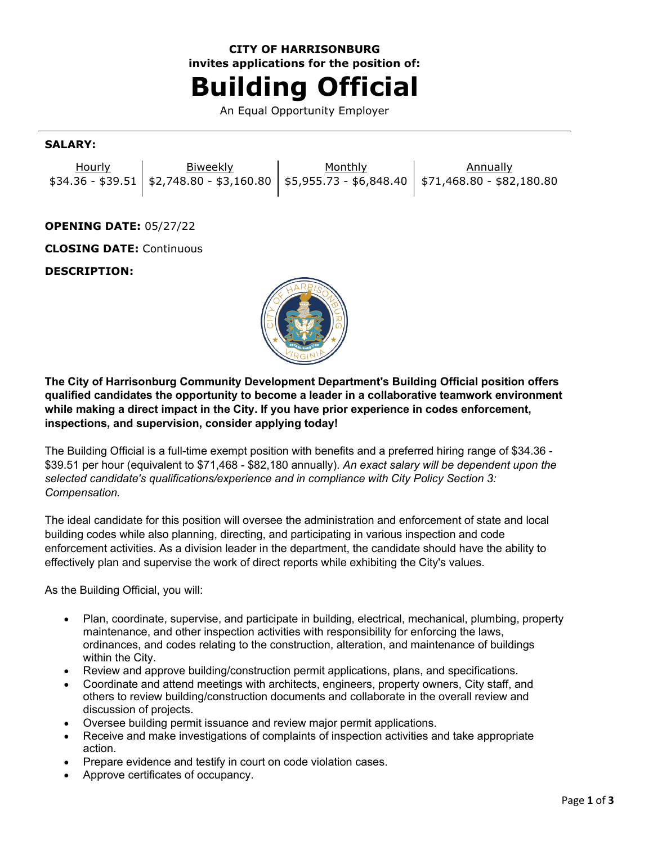# **CITY OF HARRISONBURG invites applications for the position of: Building Official**

An Equal Opportunity Employer

#### **SALARY:**

| Hourly | <b>Biweekly</b> | Monthly | Annually                                                                                    |
|--------|-----------------|---------|---------------------------------------------------------------------------------------------|
|        |                 |         | $$34.36 - $39.51$ $$2,748.80 - $3,160.80$ $$5,955.73 - $6,848.40$ $$71,468.80 - $82,180.80$ |

# **OPENING DATE:** 05/27/22

**CLOSING DATE:** Continuous

## **DESCRIPTION:**



**The City of Harrisonburg Community Development Department's Building Official position offers qualified candidates the opportunity to become a leader in a collaborative teamwork environment while making a direct impact in the City. If you have prior experience in codes enforcement, inspections, and supervision, consider applying today!**

The Building Official is a full-time exempt position with benefits and a preferred hiring range of \$34.36 - \$39.51 per hour (equivalent to \$71,468 - \$82,180 annually). *An exact salary will be dependent upon the selected candidate's qualifications/experience and in compliance with City Policy Section 3: Compensation.*

The ideal candidate for this position will oversee the administration and enforcement of state and local building codes while also planning, directing, and participating in various inspection and code enforcement activities. As a division leader in the department, the candidate should have the ability to effectively plan and supervise the work of direct reports while exhibiting the City's values.

As the Building Official, you will:

- Plan, coordinate, supervise, and participate in building, electrical, mechanical, plumbing, property maintenance, and other inspection activities with responsibility for enforcing the laws, ordinances, and codes relating to the construction, alteration, and maintenance of buildings within the City.
- Review and approve building/construction permit applications, plans, and specifications.
- Coordinate and attend meetings with architects, engineers, property owners, City staff, and others to review building/construction documents and collaborate in the overall review and discussion of projects.
- Oversee building permit issuance and review major permit applications.
- Receive and make investigations of complaints of inspection activities and take appropriate action.
- Prepare evidence and testify in court on code violation cases.
- Approve certificates of occupancy.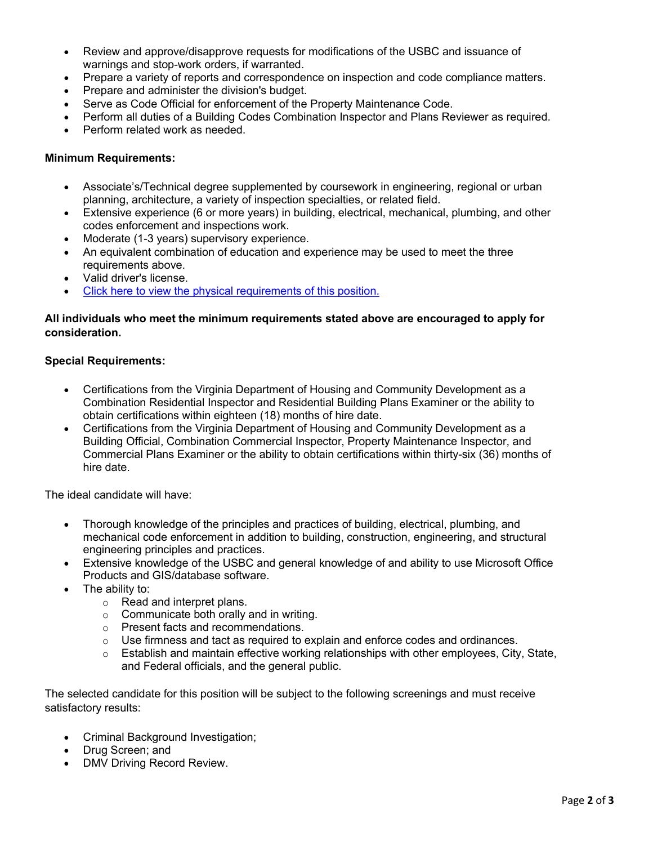- Review and approve/disapprove requests for modifications of the USBC and issuance of warnings and stop-work orders, if warranted.
- Prepare a variety of reports and correspondence on inspection and code compliance matters.
- Prepare and administer the division's budget.
- Serve as Code Official for enforcement of the Property Maintenance Code.<br>• Perform all duties of a Building Codes Combination Inspector and Plans Re
- Perform all duties of a Building Codes Combination Inspector and Plans Reviewer as required.
- Perform related work as needed.

### **Minimum Requirements:**

- Associate's/Technical degree supplemented by coursework in engineering, regional or urban planning, architecture, a variety of inspection specialties, or related field.
- Extensive experience (6 or more years) in building, electrical, mechanical, plumbing, and other codes enforcement and inspections work.
- Moderate (1-3 years) supervisory experience.
- An equivalent combination of education and experience may be used to meet the three requirements above.
- Valid driver's license.
- [Click here to view the physical requirements of this position.](https://www.governmentjobs.com/careers/harrisonburg/classspecs/1012353?keywords=5603&pagetype=classSpecifications)

# **All individuals who meet the minimum requirements stated above are encouraged to apply for consideration.**

## **Special Requirements:**

- Certifications from the Virginia Department of Housing and Community Development as a Combination Residential Inspector and Residential Building Plans Examiner or the ability to obtain certifications within eighteen (18) months of hire date.
- Certifications from the Virginia Department of Housing and Community Development as a Building Official, Combination Commercial Inspector, Property Maintenance Inspector, and Commercial Plans Examiner or the ability to obtain certifications within thirty-six (36) months of hire date.

The ideal candidate will have:

- Thorough knowledge of the principles and practices of building, electrical, plumbing, and mechanical code enforcement in addition to building, construction, engineering, and structural engineering principles and practices.
- Extensive knowledge of the USBC and general knowledge of and ability to use Microsoft Office Products and GIS/database software.
- The ability to:
	- o Read and interpret plans.
	- $\circ$  Communicate both orally and in writing.
	- o Present facts and recommendations.
	- $\circ$  Use firmness and tact as required to explain and enforce codes and ordinances.
	- $\circ$  Establish and maintain effective working relationships with other employees, City, State, and Federal officials, and the general public.

The selected candidate for this position will be subject to the following screenings and must receive satisfactory results:

- Criminal Background Investigation;
- Drug Screen; and
- DMV Driving Record Review.